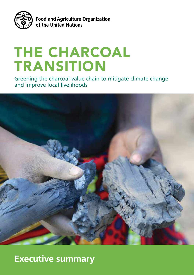

**Food and Agriculture Organization** of the United Nations

# THE CHARCOAL TRANSITION

Greening the charcoal value chain to mitigate climate change and improve local livelihoods



# **Executive summary**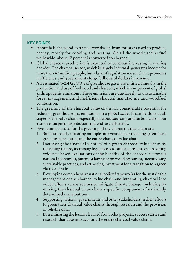# **KEY POINTS**

- About half the wood extracted worldwide from forests is used to produce energy, mostly for cooking and heating. Of all the wood used as fuel worldwide, about 17 percent is converted to charcoal.
- Global charcoal production is expected to continue increasing in coming decades. The charcoal sector, which is largely informal, generates income for more than 40 million people, but a lack of regulation means that it promotes inefficiency and governments forgo billions of dollars in revenue.
- An estimated 1–2.4 Gt  $CO<sub>2</sub>e$  of greenhouse gases are emitted annually in the production and use of fuelwood and charcoal, which is 2–7 percent of global anthropogenic emissions. These emissions are due largely to unsustainable forest management and inefficient charcoal manufacture and woodfuel combustion.
- The greening of the charcoal value chain has considerable potential for reducing greenhouse gas emissions on a global scale. It can be done at all stages of the value chain, especially in wood sourcing and carbonization but also in transport, distribution and end-use efficiency.
- Five actions needed for the greening of the charcoal value chain are:
	- Simultaneously initiating multiple interventions for reducing greenhouse gas emissions, targeting the entire charcoal value chain.
	- 2. Increasing the financial viability of a green charcoal value chain by reforming tenure, increasing legal access to land and resources, providing evidence-based evaluations of the benefits of the charcoal sector for national economies, putting a fair price on wood resources, incentivizing sustainable practices, and attracting investment for a transition to a green charcoal chain.
	- 3. Developing comprehensive national policy frameworks for the sustainable management of the charcoal value chain and integrating charcoal into wider efforts across sectors to mitigate climate change, including by making the charcoal value chain a specific component of nationally determined contributions.
	- 4. Supporting national governments and other stakeholders in their efforts to green their charcoal value chains through research and the provision of reliable data.
	- 5. Disseminating the lessons learned from pilot projects, success stories and research that take into account the entire charcoal value chain.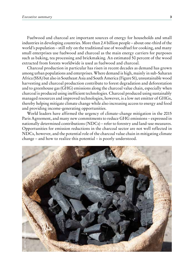Fuelwood and charcoal are important sources of energy for households and small industries in developing countries. More than 2.4 billion people – about one-third of the world's population – still rely on the traditional use of woodfuel for cooking, and many small enterprises use fuelwood and charcoal as the main energy carriers for purposes such as baking, tea processing and brickmaking. An estimated 50 percent of the wood extracted from forests worldwide is used as fuelwood and charcoal.

Charcoal production in particular has risen in recent decades as demand has grown among urban populations and enterprises. Where demand is high, mainly in sub-Saharan Africa (SSA) but also in Southeast Asia and South America (Figure S1), unsustainable wood harvesting and charcoal production contribute to forest degradation and deforestation and to greenhouse gas (GHG) emissions along the charcoal value chain, especially when charcoal is produced using inefficient technologies. Charcoal produced using sustainably managed resources and improved technologies, however, is a low net emitter of GHGs, thereby helping mitigate climate change while also increasing access to energy and food and providing income-generating opportunities.

World leaders have affirmed the urgency of climate-change mitigation in the 2015 Paris Agreement, and many new commitments to reduce GHG emissions – expressed in nationally determined contributions (NDCs) – refer to forestry and land-use measures. Opportunities for emission reductions in the charcoal sector are not well reflected in NDCs, however, and the potential role of the charcoal value chain in mitigating climate change – and how to realize this potential – is poorly understood.

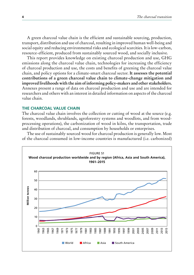A green charcoal value chain is the efficient and sustainable sourcing, production, transport, distribution and use of charcoal, resulting in improved human well-being and social equity and reducing environmental risks and ecological scarcities. It is low-carbon, resource-efficient, produced from sustainably sourced wood, and socially inclusive.

This report provides knowledge on existing charcoal production and use, GHG emissions along the charcoal value chain, technologies for increasing the efficiency of charcoal production and use, the costs and benefits of greening the charcoal value chain, and policy options for a climate-smart charcoal sector. **It assesses the potential contributions of a green charcoal value chain to climate-change mitigation and improved livelihoods with the aim of informing policy-makers and other stakeholders.**  Annexes present a range of data on charcoal production and use and are intended for researchers and others with an interest in detailed information on aspects of the charcoal value chain.

# **THE CHARCOAL VALUE CHAIN**

The charcoal value chain involves the collection or cutting of wood at the source (e.g. forests, woodlands, shrublands, agroforestry systems and woodlots, and from woodprocessing operations), the carbonization of wood in kilns, the transportation, trade and distribution of charcoal, and consumption by households or enterprises.

The use of sustainably sourced wood for charcoal production is generally low. Most of the charcoal consumed in low-income countries is manufactured (i.e. carbonized)

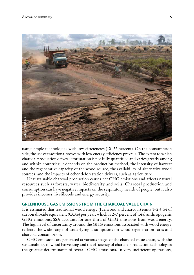

using simple technologies with low efficiencies (10–22 percent). On the consumption side, the use of traditional stoves with low energy efficiency prevails. The extent to which charcoal production drives deforestation is not fully quantified and varies greatly among and within countries; it depends on the production method, the intensity of harvest and the regenerative capacity of the wood source, the availability of alternative wood sources, and the impacts of other deforestation drivers, such as agriculture. The bigh determinants of overall GHG emissions and the expectation and the greatest determinants of overall CHG emissions. The extent to which were and the repenative capacity shows and the intensity of haveas and the regn

Unsustainable charcoal production causes net GHG emissions and affects natural resources such as forests, water, biodiversity and soils. Charcoal production and consumption can have negative impacts on the respiratory health of people, but it also provides incomes, livelihoods and energy security.

# **GREENHOUSE GAS EMISSIONS FROM THE CHARCOAL VALUE CHAIN**

It is estimated that traditional wood energy (fuelwood and charcoal) emits 1–2.4 Gt of carbon dioxide equivalent ( $CO<sub>2</sub>e$ ) per year, which is 2–7 percent of total anthropogenic GHG emissions; SSA accounts for one-third of GHG emissions from wood energy. The high level of uncertainty around the GHG emissions associated with wood energy reflects the wide range of underlying assumptions on wood regeneration rates and charcoal consumption.

GHG emissions are generated at various stages of the charcoal value chain, with the sustainability of wood harvesting and the efficiency of charcoal production technologies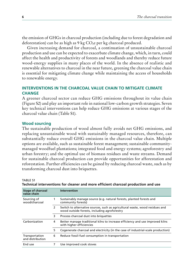the emission of GHGs in charcoal production (including due to forest degradation and deforestation) can be as high as  $9 \text{ kg CO}_2$ e per kg charcoal produced.

Given increasing demand for charcoal, a continuation of unsustainable charcoal production and use can be expected to exacerbate climate change, which, in turn, could affect the health and productivity of forests and woodlands and thereby reduce future wood-energy supplies in many places of the world. In the absence of realistic and renewable alternatives to charcoal in the near future, greening the charcoal value chain is essential for mitigating climate change while maintaining the access of households to renewable energy.

# **INTERVENTIONS IN THE CHARCOAL VALUE CHAIN TO MITIGATE CLIMATE CHANGE**

A greener charcoal sector can reduce GHG emissions throughout its value chain (Figure S2) and play an important role in national low-carbon growth strategies. Seven key technical interventions can help reduce GHG emissions at various stages of the charcoal value chain (Table S1).

# **Wood sourcing**

The sustainable production of wood almost fully avoids net GHG emissions, and replacing unsustainable wood with sustainably managed resources, therefore, can substantially reduce overall GHG emissions in the charcoal value chain. Multiple options are available, such as sustainable forest management; sustainable communitymanaged woodfuel plantations; integrated food and energy systems; agroforestry and urban forestry; and the optimal use of biomass residues and waste streams. Demand for sustainable charcoal production can provide opportunities for afforestation and reforestation. Further efficiencies can be gained by reducing charcoal waste, such as by transforming charcoal dust into briquettes.

| <b>Stage of charcoal</b><br>value chain |               | <b>Intervention</b>                                                                                                          |
|-----------------------------------------|---------------|------------------------------------------------------------------------------------------------------------------------------|
| Sourcing of<br>wood/charcoal            |               | Sustainably manage source (e.g. natural forests, planted forests and<br>community forests)                                   |
|                                         | $\mathcal{P}$ | Switch to alternative sources, such as agricultural waste, wood residues and<br>wood outside forests, including agroforestry |
|                                         | 3             | Process charcoal dust into briguettes                                                                                        |
| Carbonization                           | 4             | Better manage traditional kilns to increase efficiency and use improved kilns<br>with higher efficiencies                    |
|                                         | 5.            | Cogenerate charcoal and electricity (in the case of industrial-scale production)                                             |
| Transportation<br>and distribution      | 6             | Reduce fossil-fuel consumption in transportation                                                                             |
| End use                                 |               | Use improved cook stoves                                                                                                     |

#### TABLE S1 **Technical interventions for cleaner and more efficient charcoal production and use**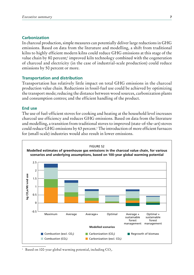# **Carbonization**

In charcoal production, simple measures can potentially deliver large reductions in GHG emissions. Based on data from the literature and modelling, a shift from traditional kilns to highly efficient modern kilns could reduce GHG emissions at this stage of the value chain by 80 percent;<sup>1</sup> improved kiln technology combined with the cogeneration of charcoal and electricity (in the case of industrial-scale production) could reduce emissions by 50 percent or more.

# **Transportation and distribution**

Transportation has relatively little impact on total GHG emissions in the charcoal production value chain. Reductions in fossil-fuel use could be achieved by optimizing the transport mode; reducing the distance between wood sources, carbonization plants and consumption centres; and the efficient handling of the product.

# **End use**

The use of fuel-efficient stoves for cooking and heating at the household level increases charcoal use efficiency and reduces GHG emissions. Based on data from the literature and modelling, a transition from traditional stoves to improved (state-of-the-art) stoves could reduce GHG emissions by 63 percent.1 The introduction of more efficient furnaces for (small-scale) industries would also result in lower emissions.



Based on 100-year global warming potential, including  $CO<sub>2</sub>$ .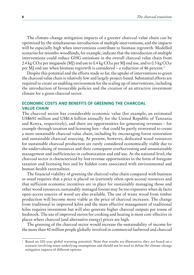The climate-change mitigation impacts of a greener charcoal value chain can be optimized by the simultaneous introduction of multiple interventions, and the impacts will be especially high when interventions contribute to biomass regrowth. Modelled scenarios for miombo woodlands, for example, indicate that the introduction of multiple interventions could reduce GHG emissions in the overall charcoal value chain from 2.4 kg CO<sub>2</sub>e per megajoule (MJ) end use to 0.4 kg CO<sub>2</sub>e per MJ end use, and to 0.3 kg CO<sub>2</sub>e per MJ end use when biomass regrowth is considered – a reduction of 86 percent.2

Despite this potential and the efforts made so far, the uptake of interventions to green the charcoal value chain is relatively low and largely project-based. Substantial efforts are required to create an enabling environment for the scaling up of interventions, including the introduction of favourable policies and the creation of an attractive investment climate for a green charcoal sector.

# **ECONOMIC COSTS AND BENEFITS OF GREENING THE CHARCOAL VALUE CHAIN**

The charcoal sector has considerable economic value (for example, an estimated US\$650 million and US\$1.6 billion annually for the United Republic of Tanzania and Kenya, respectively), and there are opportunities for generating revenues – for example through taxation and licensing fees – that could be partly reinvested to create a more sustainable charcoal value chain, including by encouraging forest restoration and sustainable charcoal sourcing. At present, however, dedicated wood resources for sustainable charcoal production are rarely considered economically viable due to the undervaluing of resources and their consequent overharvesting and unsustainable management and inefficiencies in carbonization and end use. At the national level, the charcoal sector is characterized by lost revenue opportunities in the form of foregone taxation and licensing fees and by hidden costs associated with environmental and human-health externalities.

The financial viability of greening the charcoal value chain compared with business as usual requires that a price is placed on (currently often open-access) resources and that sufficient economic incentives are in place for sustainably managing those and other wood resources; sustainably managed forests may be too expensive when de facto open-access sources of wood are also available. The use of waste wood from timber production will become more viable as the price of charcoal increases. The change from traditional to improved kilns and the more effective management of traditional kilns requires investment but will also generate higher charcoal outputs per tonne of feedstock. The use of improved stoves for cooking and heating is most cost-effective in places where charcoal (and alternative energy) prices are high.

The greening of the charcoal sector would increase the sustainability of income for the more than 40 million people globally involved in commercial fuelwood and charcoal

<sup>2</sup> Based on 100-year global warming potential. Note that results are illustrative; they are based on a scenario involving many underlying assumptions and should not be used to define the climate-change mitigation impacts of different options.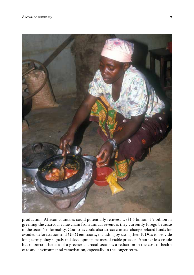![](_page_8_Picture_1.jpeg)

production. African countries could potentially reinvest US\$1.5 billion–3.9 billion in greening the charcoal value chain from annual revenues they currently forego because of the sector's informality. Countries could also attract climate-change-related funds for avoided deforestation and GHG emissions, including by using their NDCs to provide long-term policy signals and developing pipelines of viable projects. Another less visible but important benefit of a greener charcoal sector is a reduction in the cost of health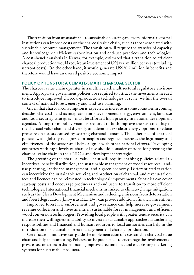The transition from unsustainable to sustainable sourcing and from informal to formal institutions can impose costs on the charcoal value chain, such as those associated with sustainable resource management. The transition will require the transfer of capacity and knowledge on efficient carbonization and end-use practices and technologies. A cost–benefit analysis in Kenya, for example, estimated that a transition to efficient charcoal production would require an investment of US\$15.6 million per year (excluding upfront costs). On the other hand, it would generate US\$20.7 million in benefits and therefore would have an overall positive economic impact.

## **POLICY OPTIONS FOR A CLIMATE-SMART CHARCOAL SECTOR**

The charcoal value chain operates in a multilayered, multisectoral regulatory environment. Appropriate government policies are required to attract the investments needed to introduce improved charcoal-production technologies at scale, within the overall context of national forest, energy and land-use planning.

Given that charcoal consumption is expected to increase in some countries in coming decades, charcoal – and its integration into development, energy, environment, land-use and food-security strategies – must be afforded high priority in national development agendas. A long-term policy vision is required to both improve the sustainability of the charcoal value chain and diversify and democratize clean-energy options to reduce pressure on forests caused by soaring charcoal demand. The coherence of charcoal policies with globally recognized principles and regimes increases the legitimacy and effectiveness of the sector and helps align it with other national efforts. Developing countries with high levels of charcoal use should consider options for greening the charcoal value chain in their NDCs and development strategies.

The greening of the charcoal value chain will require enabling policies related to incentives, benefit distribution, the sustainable management of wood resources, landuse planning, landscape management, and a green economy. Differentiated taxation can incentivize the sustainable sourcing and production of charcoal, and revenues from fees and licences can be reinvested in technological improvements. Subsidies can cover start-up costs and encourage producers and end users to transition to more efficient technologies. International financial mechanisms linked to climate-change mitigation, such as the Clean Development Mechanism and reducing emissions from deforestation and forest degradation (known as REDD+), can provide additional financial incentives.

Improved forest law enforcement and governance can help increase government revenue collection and investments in sustainable forest management and efficient wood conversion technologies. Providing local people with greater tenure security can increase their willingness and ability to invest in sustainable approaches. Transferring responsibilities and financial and human resources to local authorities can help in the introduction of sustainable forest management and charcoal production.

Certification initiatives can guide the implementation of a sustainable charcoal value chain and help in monitoring. Policies can be put in place to encourage the involvement of private-sector actors in disseminating improved technologies and establishing marketing systems for sustainable products.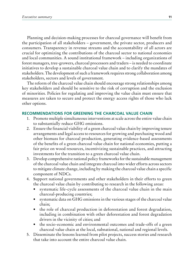Planning and decision-making processes for charcoal governance will benefit from the participation of all stakeholders – government, the private sector, producers and consumers. Transparency in revenue streams and the accountability of all actors are crucial for optimizing the contributions of the charcoal sector to national economies and local communities. A sound institutional framework – including organizations of forest managers, tree-growers, charcoal processors and traders – is needed to coordinate initiatives to develop a sustainable charcoal value chain and to clarify the mandates of stakeholders. The development of such a framework requires strong collaboration among stakeholders, sectors and levels of government.

The reform of the charcoal value chain should encourage strong relationships among key stakeholders and should be sensitive to the risk of corruption and the exclusion of minorities. Policies for regulating and improving the value chain must ensure that measures are taken to secure and protect the energy access rights of those who lack other options.

## **RECOMMENDATIONS FOR GREENING THE CHARCOAL VALUE CHAIN**

- 1. Promote multiple simultaneous interventions at scale across the entire value chain to substantially reduce GHG emissions.
- 2. Ensure the financial viability of a green charcoal value chain by improving tenure arrangements and legal access to resources for growing and purchasing wood and other biomass for charcoal production, generating evidence-based assessments of the benefits of a green charcoal value chain for national economies, putting a fair price on wood resources, incentivizing sustainable practices, and attracting investments for the transition to a green charcoal value chain.
- 3. Develop comprehensive national policy frameworks for the sustainable management of the charcoal value chain and integrate charcoal into wider efforts across sectors to mitigate climate change, including by making the charcoal value chain a specific component of NDCs.
- 4. Support national governments and other stakeholders in their efforts to green the charcoal value chain by contributing to research in the following areas:
	- systematic life-cycle assessments of the charcoal value chain in the main charcoal-producing countries;
	- systematic data on GHG emissions in the various stages of the charcoal value chain;
	- the role of charcoal production in deforestation and forest degradation, including in combination with other deforestation and forest degradation drivers in the vicinity of cities; and
	- the socio-economic and environmental outcomes and trade-offs of a green charcoal value chain at the local, subnational, national and regional levels.
- 5. Disseminate the lessons learned from pilot projects, success stories and research that take into account the entire charcoal value chain.